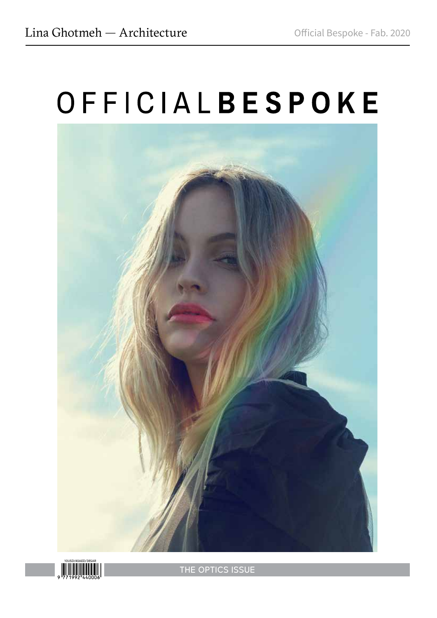## OFFICIALBESPOKE





THE OPTICS ISSUE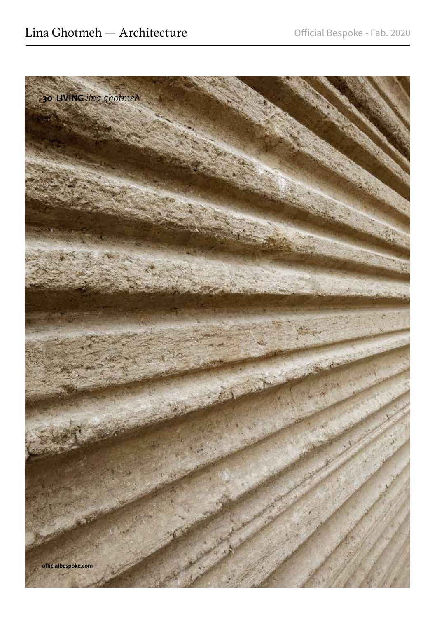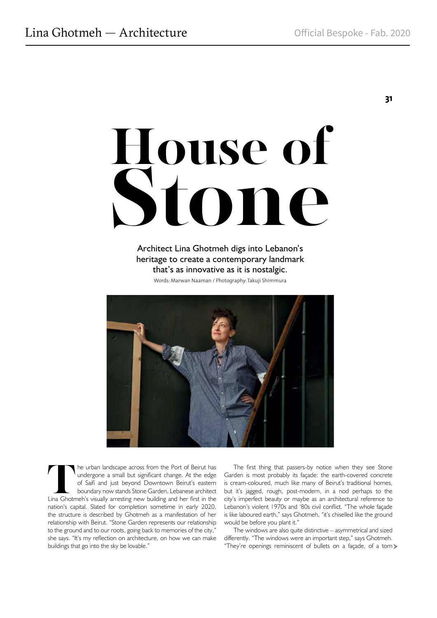## **House of Stone**

## Architect Lina Ghotmeh digs into Lebanon's heritage to create a contemporary landmark that's as innovative as it is nostalgic.

Words: Marwan Naaman / Photography: Takuji Shimmura



The urban landscape across from the Port of Beirut has undergone a small but significant change. At the edge of Saifi and just beyond Downtown Beirut's eastern boundary now stands Stone Garden, Lebanese architect Lina Ghot undergone a small but significant change. At the edge of Saifi and just beyond Downtown Beirut's eastern boundary now stands Stone Garden, Lebanese architect Lina Ghotmeh's visually arresting new building and her first in the nation's capital. Slated for completion sometime in early 2020, the structure is described by Ghotmeh as a manifestation of her relationship with Beirut. "Stone Garden represents our relationship to the ground and to our roots, going back to memories of the city," she says. "It's my reflection on architecture, on how we can make buildings that go into the sky be lovable."

The first thing that passers-by notice when they see Stone Garden is most probably its façade: the earth-covered concrete is cream-coloured, much like many of Beirut's traditional homes, but it's jagged, rough, post-modern, in a nod perhaps to the city's imperfect beauty or maybe as an architectural reference to Lebanon's violent 1970s and '80s civil conflict. "The whole façade is like laboured earth," says Ghotmeh, "it's chiselled like the ground would be before you plant it."

The windows are also quite distinctive – asymmetrical and sized differently. "The windows were an important step," says Ghotmeh. "They're openings reminiscent of bullets on a façade, of a torn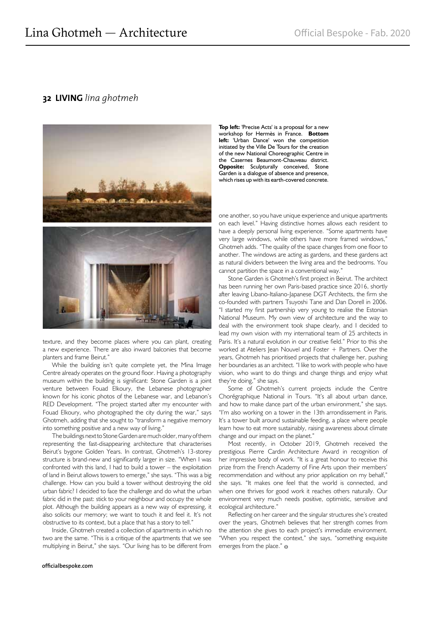## **32 LIVING** *lina ghotmeh* **33**



texture, and they become places where you can plant, creating a new experience. There are also inward balconies that become planters and frame Beirut."

While the building isn't quite complete yet, the Mina Image Centre already operates on the ground floor. Having a photography museum within the building is significant: Stone Garden is a joint venture between Fouad Elkoury, the Lebanese photographer known for his iconic photos of the Lebanese war, and Lebanon's RED Development. "The project started after my encounter with Fouad Elkoury, who photographed the city during the war," says Ghotmeh, adding that she sought to "transform a negative memory into something positive and a new way of living."

The buildings next to Stone Garden are much older, many of them representing the fast-disappearing architecture that characterises Beirut's bygone Golden Years. In contrast, Ghotmeh's 13-storey structure is brand-new and significantly larger in size. "When I was confronted with this land, I had to build a tower – the exploitation of land in Beirut allows towers to emerge," she says. "This was a big challenge. How can you build a tower without destroying the old urban fabric? I decided to face the challenge and do what the urban fabric did in the past: stick to your neighbour and occupy the whole plot. Although the building appears as a new way of expressing, it also solicits our memory; we want to touch it and feel it. It's not obstructive to its context, but a place that has a story to tell."

Inside, Ghotmeh created a collection of apartments in which no two are the same. "This is a critique of the apartments that we see multiplying in Beirut," she says. "Our living has to be different from **Top left:** 'Precise Acts' is a proposal for a new workshop for Hermès in France. **Bottom left:** 'Urban Dance' won the competition initiated by the Ville De Tours for the creation of the new National Choreographic Centre in the Casernes Beaumont-Chauveau district. **Opposite:** Sculpturally conceived, Stone Garden is a dialogue of absence and presence, which rises up with its earth-covered concrete.

one another, so you have unique experience and unique apartments on each level." Having distinctive homes allows each resident to have a deeply personal living experience. "Some apartments have very large windows, while others have more framed windows," Ghotmeh adds. "The quality of the space changes from one floor to another. The windows are acting as gardens, and these gardens act as natural dividers between the living area and the bedrooms. You cannot partition the space in a conventional way."

Stone Garden is Ghotmeh's first project in Beirut. The architect has been running her own Paris-based practice since 2016, shortly after leaving Libano-Italiano-Japanese DGT Architects, the firm she co-founded with partners Tsuyoshi Tane and Dan Dorell in 2006. "I started my first partnership very young to realise the Estonian National Museum. My own view of architecture and the way to deal with the environment took shape clearly, and I decided to lead my own vision with my international team of 25 architects in Paris. It's a natural evolution in our creative field." Prior to this she worked at Ateliers Jean Nouvel and Foster + Partners. Over the years, Ghotmeh has prioritised projects that challenge her, pushing her boundaries as an architect. "I like to work with people who have vision, who want to do things and change things and enjoy what they're doing," she says.

Some of Ghotmeh's current projects include the Centre Chorégraphique National in Tours. "It's all about urban dance, and how to make dance part of the urban environment," she says. "I'm also working on a tower in the 13th arrondissement in Paris. It's a tower built around sustainable feeding, a place where people learn how to eat more sustainably, raising awareness about climate change and our impact on the planet."

Most recently, in October 2019, Ghotmeh received the prestigious Pierre Cardin Architecture Award in recognition of her impressive body of work. "It is a great honour to receive this prize from the French Academy of Fine Arts upon their members' recommendation and without any prior application on my behalf," she says. "It makes one feel that the world is connected, and when one thrives for good work it reaches others naturally. Our environment very much needs positive, optimistic, sensitive and ecological architecture."

Reflecting on her career and the singular structures she's created over the years, Ghotmeh believes that her strength comes from the attention she gives to each project's immediate environment. "When you respect the context," she says, "something exquisite emerges from the place."  $\omega$